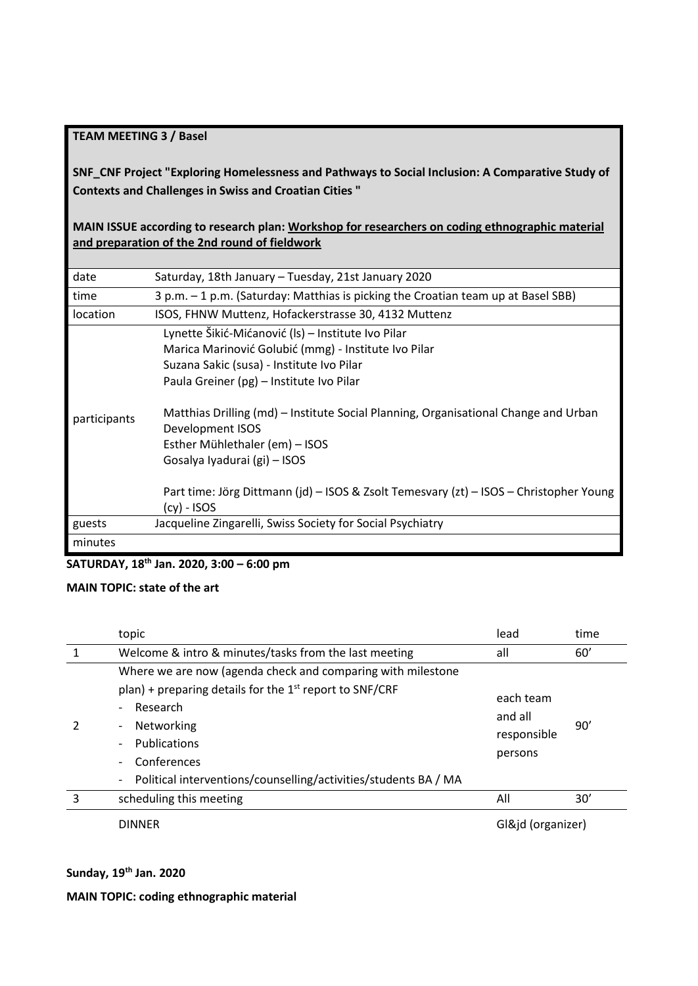### **TEAM MEETING 3 / Basel**

**SNF\_CNF Project "Exploring Homelessness and Pathways to Social Inclusion: A Comparative Study of Contexts and Challenges in Swiss and Croatian Cities "**

**MAIN ISSUE according to research plan: Workshop for researchers on coding ethnographic material and preparation of the 2nd round of fieldwork**

| date         | Saturday, 18th January - Tuesday, 21st January 2020                                                     |
|--------------|---------------------------------------------------------------------------------------------------------|
| time         | 3 p.m. - 1 p.m. (Saturday: Matthias is picking the Croatian team up at Basel SBB)                       |
| location     | ISOS, FHNW Muttenz, Hofackerstrasse 30, 4132 Muttenz                                                    |
|              | Lynette Šikić-Mićanović (ls) - Institute Ivo Pilar                                                      |
|              | Marica Marinović Golubić (mmg) - Institute Ivo Pilar                                                    |
|              | Suzana Sakic (susa) - Institute Ivo Pilar                                                               |
| participants | Paula Greiner (pg) - Institute Ivo Pilar                                                                |
|              | Matthias Drilling (md) – Institute Social Planning, Organisational Change and Urban<br>Development ISOS |
|              | Esther Mühlethaler (em) - ISOS                                                                          |
|              | Gosalya Iyadurai (gi) - ISOS                                                                            |
|              | Part time: Jörg Dittmann (jd) – ISOS & Zsolt Temesvary (zt) – ISOS – Christopher Young<br>(cy) - ISOS   |
| guests       | Jacqueline Zingarelli, Swiss Society for Social Psychiatry                                              |
| minutes      |                                                                                                         |

### **SATURDAY, 18th Jan. 2020, 3:00 – 6:00 pm**

### **MAIN TOPIC: state of the art**

|   | topic                                                                                                                                                                                                                                                                                                                                                                                            | lead                                           | time |
|---|--------------------------------------------------------------------------------------------------------------------------------------------------------------------------------------------------------------------------------------------------------------------------------------------------------------------------------------------------------------------------------------------------|------------------------------------------------|------|
|   | Welcome & intro & minutes/tasks from the last meeting                                                                                                                                                                                                                                                                                                                                            | all                                            | 60'  |
|   | Where we are now (agenda check and comparing with milestone<br>plan) + preparing details for the $1st$ report to SNF/CRF<br>Research<br>$\overline{\phantom{0}}$<br>Networking<br>$\overline{\phantom{0}}$<br>Publications<br>$\overline{\phantom{a}}$<br>Conferences<br>$\overline{\phantom{0}}$<br>Political interventions/counselling/activities/students BA / MA<br>$\overline{\phantom{a}}$ | each team<br>and all<br>responsible<br>persons | 90'  |
| 3 | scheduling this meeting                                                                                                                                                                                                                                                                                                                                                                          | All                                            | 30'  |
|   | <b>DINNER</b>                                                                                                                                                                                                                                                                                                                                                                                    | Gl&jd (organizer)                              |      |

#### **Sunday, 19th Jan. 2020**

**MAIN TOPIC: coding ethnographic material**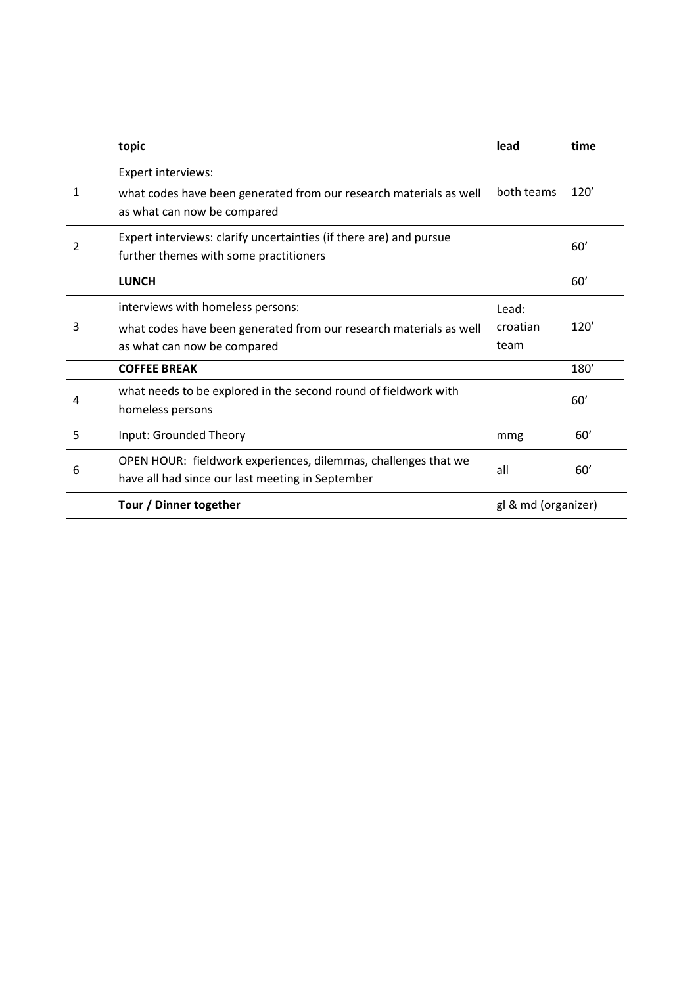|   | topic                                                                                                                                  | lead                      | time |
|---|----------------------------------------------------------------------------------------------------------------------------------------|---------------------------|------|
| 1 | Expert interviews:<br>what codes have been generated from our research materials as well<br>as what can now be compared                | both teams                | 120' |
| 2 | Expert interviews: clarify uncertainties (if there are) and pursue<br>further themes with some practitioners                           |                           | 60'  |
|   | <b>LUNCH</b>                                                                                                                           |                           | 60'  |
| 3 | interviews with homeless persons:<br>what codes have been generated from our research materials as well<br>as what can now be compared | Lead:<br>croatian<br>team | 120' |
|   | <b>COFFEE BREAK</b>                                                                                                                    |                           | 180' |
| 4 | what needs to be explored in the second round of fieldwork with<br>homeless persons                                                    |                           | 60'  |
| 5 | Input: Grounded Theory                                                                                                                 | mmg                       | 60'  |
| 6 | OPEN HOUR: fieldwork experiences, dilemmas, challenges that we<br>have all had since our last meeting in September                     | all                       | 60'  |
|   | Tour / Dinner together                                                                                                                 | gl & md (organizer)       |      |